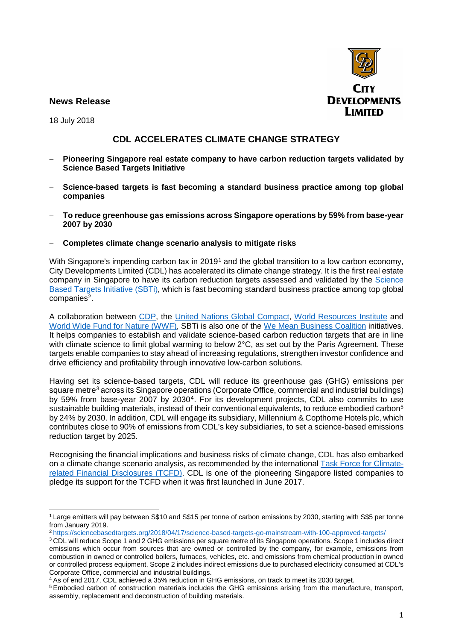

## **News Release**

18 July 2018

## **CDL ACCELERATES CLIMATE CHANGE STRATEGY**

- − **Pioneering Singapore real estate company to have carbon reduction targets validated by Science Based Targets Initiative**
- − **Science-based targets is fast becoming a standard business practice among top global companies**
- − **To reduce greenhouse gas emissions across Singapore operations by 59% from base-year 2007 by 2030**

## − **Completes climate change scenario analysis to mitigate risks**

With Singapore's impending carbon tax in 2019<sup>1</sup> and the global transition to a low carbon economy, City Developments Limited (CDL) has accelerated its climate change strategy. It is the first real estate company in Singapore to have its carbon reduction targets assessed and validated by the Science Based Targets Initiative (SBTi), which is fast becoming standard business practice among top global companies<sup>2</sup>.

A collaboration between CDP, the United Nations Global Compact, World Resources Institute and World Wide Fund for Nature (WWF), SBTi is also one of the We Mean Business Coalition initiatives. It helps companies to establish and validate science-based carbon reduction targets that are in line with climate science to limit global warming to below 2°C, as set out by the Paris Agreement. These targets enable companies to stay ahead of increasing regulations, strengthen investor confidence and drive efficiency and profitability through innovative low-carbon solutions.

Having set its science-based targets, CDL will reduce its greenhouse gas (GHG) emissions per square metre<sup>3</sup> across its Singapore operations (Corporate Office, commercial and industrial buildings) by 59% from base-year 2007 by 20304. For its development projects, CDL also commits to use sustainable building materials, instead of their conventional equivalents, to reduce embodied carbon<sup>5</sup> by 24% by 2030. In addition, CDL will engage its subsidiary, Millennium & Copthorne Hotels plc, which contributes close to 90% of emissions from CDL's key subsidiaries, to set a science-based emissions reduction target by 2025.

Recognising the financial implications and business risks of climate change, CDL has also embarked on a climate change scenario analysis, as recommended by the international Task Force for Climaterelated Financial Disclosures (TCFD). CDL is one of the pioneering Singapore listed companies to pledge its support for the TCFD when it was first launched in June 2017.

 $\overline{a}$ <sup>1</sup> Large emitters will pay between S\$10 and S\$15 per tonne of carbon emissions by 2030, starting with S\$5 per tonne from January 2019.

<sup>2</sup> https://sciencebasedtargets.org/2018/04/17/science-based-targets-go-mainstream-with-100-approved-targets/

<sup>&</sup>lt;sup>3</sup> CDL will reduce Scope 1 and 2 GHG emissions per square metre of its Singapore operations. Scope 1 includes direct emissions which occur from sources that are owned or controlled by the company, for example, emissions from combustion in owned or controlled boilers, furnaces, vehicles, etc. and emissions from chemical production in owned or controlled process equipment. Scope 2 includes indirect emissions due to purchased electricity consumed at CDL's Corporate Office, commercial and industrial buildings.

<sup>4</sup> As of end 2017, CDL achieved a 35% reduction in GHG emissions, on track to meet its 2030 target.

<sup>5</sup> Embodied carbon of construction materials includes the GHG emissions arising from the manufacture, transport, assembly, replacement and deconstruction of building materials.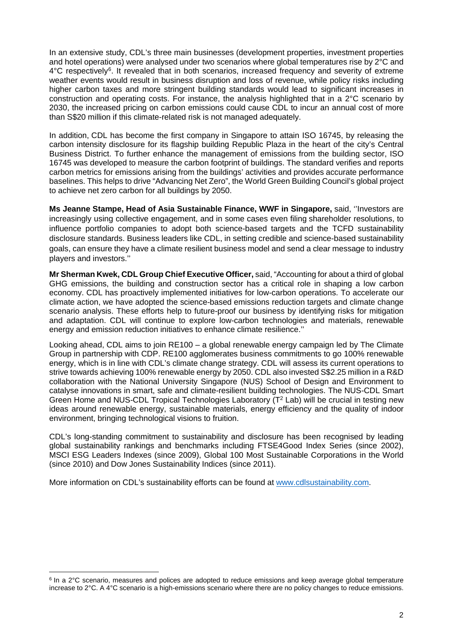In an extensive study, CDL's three main businesses (development properties, investment properties and hotel operations) were analysed under two scenarios where global temperatures rise by 2°C and  $4^{\circ}$ C respectively<sup>6</sup>. It revealed that in both scenarios, increased frequency and severity of extreme weather events would result in business disruption and loss of revenue, while policy risks including higher carbon taxes and more stringent building standards would lead to significant increases in construction and operating costs. For instance, the analysis highlighted that in a 2°C scenario by 2030, the increased pricing on carbon emissions could cause CDL to incur an annual cost of more than S\$20 million if this climate-related risk is not managed adequately.

In addition, CDL has become the first company in Singapore to attain ISO 16745, by releasing the carbon intensity disclosure for its flagship building Republic Plaza in the heart of the city's Central Business District. To further enhance the management of emissions from the building sector, ISO 16745 was developed to measure the carbon footprint of buildings. The standard verifies and reports carbon metrics for emissions arising from the buildings' activities and provides accurate performance baselines. This helps to drive "Advancing Net Zero", the World Green Building Council's global project to achieve net zero carbon for all buildings by 2050.

**Ms Jeanne Stampe, Head of Asia Sustainable Finance, WWF in Singapore,** said, ''Investors are increasingly using collective engagement, and in some cases even filing shareholder resolutions, to influence portfolio companies to adopt both science-based targets and the TCFD sustainability disclosure standards. Business leaders like CDL, in setting credible and science-based sustainability goals, can ensure they have a climate resilient business model and send a clear message to industry players and investors.''

**Mr Sherman Kwek, CDL Group Chief Executive Officer,** said, "Accounting for about a third of global GHG emissions, the building and construction sector has a critical role in shaping a low carbon economy. CDL has proactively implemented initiatives for low-carbon operations. To accelerate our climate action, we have adopted the science-based emissions reduction targets and climate change scenario analysis. These efforts help to future-proof our business by identifying risks for mitigation and adaptation. CDL will continue to explore low-carbon technologies and materials, renewable energy and emission reduction initiatives to enhance climate resilience.''

Looking ahead, CDL aims to join RE100 – a global renewable energy campaign led by The Climate Group in partnership with CDP. RE100 agglomerates business commitments to go 100% renewable energy, which is in line with CDL's climate change strategy. CDL will assess its current operations to strive towards achieving 100% renewable energy by 2050. CDL also invested S\$2.25 million in a R&D collaboration with the National University Singapore (NUS) School of Design and Environment to catalyse innovations in smart, safe and climate-resilient building technologies. The NUS-CDL Smart Green Home and NUS-CDL Tropical Technologies Laboratory  $(T^2$  Lab) will be crucial in testing new ideas around renewable energy, sustainable materials, energy efficiency and the quality of indoor environment, bringing technological visions to fruition.

CDL's long-standing commitment to sustainability and disclosure has been recognised by leading global sustainability rankings and benchmarks including FTSE4Good Index Series (since 2002), MSCI ESG Leaders Indexes (since 2009), Global 100 Most Sustainable Corporations in the World (since 2010) and Dow Jones Sustainability Indices (since 2011).

More information on CDL's sustainability efforts can be found at www.cdlsustainability.com.

 $\overline{a}$ 

<sup>6</sup> In a 2°C scenario, measures and polices are adopted to reduce emissions and keep average global temperature increase to 2°C. A 4°C scenario is a high-emissions scenario where there are no policy changes to reduce emissions.